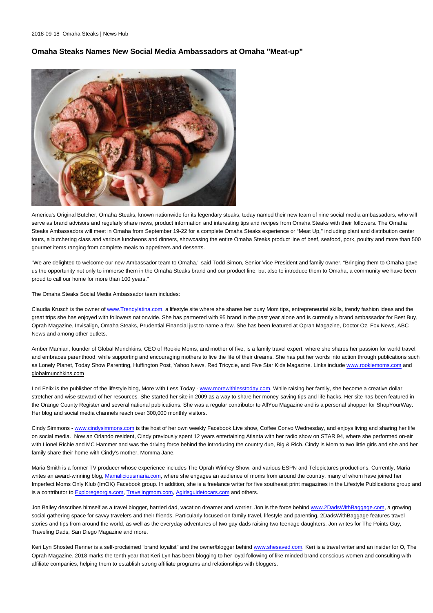2018-09-18 Omaha Steaks | News Hub

## **Omaha Steaks Names New Social Media Ambassadors at Omaha "Meat-up"**



America's Original Butcher, Omaha Steaks, known nationwide for its legendary steaks, today named their new team of nine social media ambassadors, who will serve as brand advisors and regularly share news, product information and interesting tips and recipes from Omaha Steaks with their followers. The Omaha Steaks Ambassadors will meet in Omaha from September 19-22 for a complete Omaha Steaks experience or "Meat Up,'' including plant and distribution center tours, a butchering class and various luncheons and dinners, showcasing the entire Omaha Steaks product line of beef, seafood, pork, poultry and more than 500 gourmet items ranging from complete meals to appetizers and desserts.

"We are delighted to welcome our new Ambassador team to Omaha,'' said Todd Simon, Senior Vice President and family owner. "Bringing them to Omaha gave us the opportunity not only to immerse them in the Omaha Steaks brand and our product line, but also to introduce them to Omaha, a community we have been proud to call our home for more than 100 years.''

The Omaha Steaks Social Media Ambassador team includes:

Claudia Krusch is the owner of [www.Trendylatina.com](http://www.trendylatina.com/), a lifestyle site where she shares her busy Mom tips, entrepreneurial skills, trendy fashion ideas and the great trips she has enjoyed with followers nationwide. She has partnered with 95 brand in the past year alone and is currently a brand ambassador for Best Buy, Oprah Magazine, Invisalign, Omaha Steaks, Prudential Financial just to name a few. She has been featured at Oprah Magazine, Doctor Oz, Fox News, ABC News and among other outlets.

Amber Mamian, founder of Global Munchkins, CEO of Rookie Moms, and mother of five, is a family travel expert, where she shares her passion for world travel, and embraces parenthood, while supporting and encouraging mothers to live the life of their dreams. She has put her words into action through publications such as Lonely Planet, Today Show Parenting, Huffington Post, Yahoo News, Red Tricycle, and Five Star Kids Magazine. Links include [www.rookiemoms.com](http://www.rookiemoms.com/) and globalmunchkins.com

Lori Felix is the publisher of the lifestyle blog. More with Less Today - [www.morewithlesstoday.com.](http://www.morewithlesstoday.com/) While raising her family, she become a creative dollar stretcher and wise steward of her resources. She started her site in 2009 as a way to share her money-saving tips and life hacks. Her site has been featured in the Orange County Register and several national publications. She was a regular contributor to AllYou Magazine and is a personal shopper for ShopYourWay. Her blog and social media channels reach over 300,000 monthly visitors.

Cindy Simmons - [www.cindysimmons.com](http://www.cindysimmons.com/) is the host of her own weekly Facebook Live show, Coffee Convo Wednesday, and enjoys living and sharing her life on social media. Now an Orlando resident, Cindy previously spent 12 years entertaining Atlanta with her radio show on STAR 94, where she performed on-air with Lionel Richie and MC Hammer and was the driving force behind the introducing the country duo, Big & Rich. Cindy is Mom to two little girls and she and her family share their home with Cindy's mother, Momma Jane.

Maria Smith is a former TV producer whose experience includes The Oprah Winfrey Show, and various ESPN and Telepictures productions. Currently, Maria writes an award-winning blog, [Mamaliciousmaria.com](https://urldefense.proofpoint.com/v2/url?u=http-3A__Mamaliciousmaria.com&d=DwMFAg&c=PNQl4qie3EmITAtObRVrhdY93ZW3JJnxulhFJqqp7g4&r=RFAe00hxoVtZ2iaBPgzOHn6zpwU8_iWK2FbHw6pIagc&m=Va-vq8ZHciv9v8OOLEBApDpOLdQFuFEC6gowtgBBSwU&s=VpsNHlfZzChh9iCTJNEIDvNxospzBXmkzCg-mg3dOEI&e=), where she engages an audience of moms from around the country, many of whom have joined her Imperfect Moms Only Klub (ImOK) Facebook group. In addition, she is a freelance writer for five southeast print magazines in the Lifestyle Publications group and is a contributor to [Exploregeorgia.com,](https://urldefense.proofpoint.com/v2/url?u=http-3A__Exploregeorgia.com&d=DwMFAg&c=PNQl4qie3EmITAtObRVrhdY93ZW3JJnxulhFJqqp7g4&r=RFAe00hxoVtZ2iaBPgzOHn6zpwU8_iWK2FbHw6pIagc&m=Va-vq8ZHciv9v8OOLEBApDpOLdQFuFEC6gowtgBBSwU&s=t8m2X4XmiztHVJKoObnGXQTv_f4T-61HdLCBE61mKN8&e=) [Travelingmom.com,](https://urldefense.proofpoint.com/v2/url?u=http-3A__Travelingmom.com&d=DwMFAg&c=PNQl4qie3EmITAtObRVrhdY93ZW3JJnxulhFJqqp7g4&r=RFAe00hxoVtZ2iaBPgzOHn6zpwU8_iWK2FbHw6pIagc&m=Va-vq8ZHciv9v8OOLEBApDpOLdQFuFEC6gowtgBBSwU&s=nJVNs-xRD1clFr9T9yyABUARidJjlQzM6iFU9tv6xV8&e=) [Agirlsguidetocars.com](https://urldefense.proofpoint.com/v2/url?u=http-3A__Agirlsguidetocars.com&d=DwMFAg&c=PNQl4qie3EmITAtObRVrhdY93ZW3JJnxulhFJqqp7g4&r=RFAe00hxoVtZ2iaBPgzOHn6zpwU8_iWK2FbHw6pIagc&m=Va-vq8ZHciv9v8OOLEBApDpOLdQFuFEC6gowtgBBSwU&s=TjtFptnoSaBTlyaHksWK2Ok4HxGK-h06Koju7f6ahFA&e=) and others.

Jon Bailey describes himself as a travel blogger, harried dad, vacation dreamer and worrier. Jon is the force behind [www.2DadsWithBaggage.com,](http://www.2dadswithbaggage.com/) a growing social gathering space for savvy travelers and their friends. Particularly focused on family travel, lifestyle and parenting, 2DadsWithBaggage features travel stories and tips from around the world, as well as the everyday adventures of two gay dads raising two teenage daughters. Jon writes for The Points Guy, Traveling Dads, San Diego Magazine and more.

Keri Lyn Shosted Renner is a self-proclaimed "brand loyalist'' and the owner/blogger behind [www.shesaved.com.](http://www.shesaved.com/) Keri is a travel writer and an insider for O, The Oprah Magazine. 2018 marks the tenth year that Keri Lyn has been blogging to her loyal following of like-minded brand conscious women and consulting with affiliate companies, helping them to establish strong affiliate programs and relationships with bloggers.